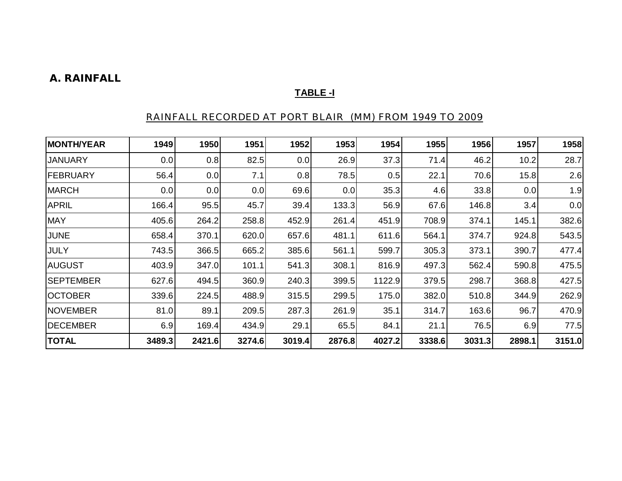### **A. RAINFALL**

### **TABLE -I**

### RAINFALL RECORDED AT PORT BLAIR (MM) FROM 1949 TO 2009

| <b>MONTH/YEAR</b> | 1949   | 1950   | 1951   | 1952   | 1953   | 1954   | 1955   | 1956   | 1957   | 1958   |
|-------------------|--------|--------|--------|--------|--------|--------|--------|--------|--------|--------|
| <b>JANUARY</b>    | 0.0    | 0.8    | 82.5   | 0.0    | 26.9   | 37.3   | 71.4   | 46.2   | 10.2   | 28.7   |
| <b>FEBRUARY</b>   | 56.4   | 0.0    | 7.1    | 0.8    | 78.5   | 0.5    | 22.1   | 70.6   | 15.8   | 2.6    |
| <b>MARCH</b>      | 0.0    | 0.0    | 0.0    | 69.6   | 0.0    | 35.3   | 4.6    | 33.8   | 0.0    | 1.9    |
| <b>APRIL</b>      | 166.4  | 95.5   | 45.7   | 39.4   | 133.3  | 56.9   | 67.6   | 146.8  | 3.4    | 0.0    |
| <b>MAY</b>        | 405.6  | 264.2  | 258.8  | 452.9  | 261.4  | 451.9  | 708.9  | 374.1  | 145.1  | 382.6  |
| <b>JUNE</b>       | 658.4  | 370.1  | 620.0  | 657.6  | 481.1  | 611.6  | 564.1  | 374.7  | 924.8  | 543.5  |
| <b>JULY</b>       | 743.5  | 366.5  | 665.2  | 385.6  | 561.1  | 599.7  | 305.3  | 373.1  | 390.7  | 477.4  |
| <b>AUGUST</b>     | 403.9  | 347.0  | 101.1  | 541.3  | 308.1  | 816.9  | 497.3  | 562.4  | 590.8  | 475.5  |
| <b>SEPTEMBER</b>  | 627.6  | 494.5  | 360.9  | 240.3  | 399.5  | 1122.9 | 379.5  | 298.7  | 368.8  | 427.5  |
| <b>OCTOBER</b>    | 339.6  | 224.5  | 488.9  | 315.5  | 299.5  | 175.0  | 382.0  | 510.8  | 344.9  | 262.9  |
| <b>NOVEMBER</b>   | 81.0   | 89.1   | 209.5  | 287.3  | 261.9  | 35.1   | 314.7  | 163.6  | 96.7   | 470.9  |
| <b>DECEMBER</b>   | 6.9    | 169.4  | 434.9  | 29.1   | 65.5   | 84.1   | 21.1   | 76.5   | 6.9    | 77.5   |
| <b>TOTAL</b>      | 3489.3 | 2421.6 | 3274.6 | 3019.4 | 2876.8 | 4027.2 | 3338.6 | 3031.3 | 2898.1 | 3151.0 |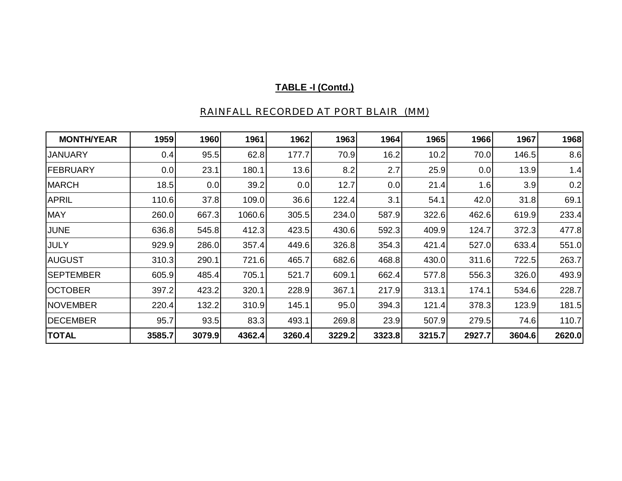| <b>MONTH/YEAR</b> | 1959   | 1960   | 1961   | 1962   | 1963   | 1964   | 1965   | 1966   | 1967   | 1968   |
|-------------------|--------|--------|--------|--------|--------|--------|--------|--------|--------|--------|
| <b>JANUARY</b>    | 0.4    | 95.5   | 62.8   | 177.7  | 70.9   | 16.2   | 10.2   | 70.0   | 146.5  | 8.6    |
| <b>FEBRUARY</b>   | 0.0    | 23.1   | 180.1  | 13.6   | 8.2    | 2.7    | 25.9   | 0.0    | 13.9   | 1.4    |
| <b>MARCH</b>      | 18.5   | 0.0    | 39.2   | 0.0    | 12.7   | 0.0    | 21.4   | 1.6    | 3.9    | 0.2    |
| <b>APRIL</b>      | 110.6  | 37.8   | 109.0  | 36.6   | 122.4  | 3.1    | 54.1   | 42.0   | 31.8   | 69.1   |
| <b>MAY</b>        | 260.0  | 667.3  | 1060.6 | 305.5  | 234.0  | 587.9  | 322.6  | 462.6  | 619.9  | 233.4  |
| <b>JUNE</b>       | 636.8  | 545.8  | 412.3  | 423.5  | 430.6  | 592.3  | 409.9  | 124.7  | 372.3  | 477.8  |
| <b>JULY</b>       | 929.9  | 286.0  | 357.4  | 449.6  | 326.8  | 354.3  | 421.4  | 527.0  | 633.4  | 551.0  |
| <b>AUGUST</b>     | 310.3  | 290.1  | 721.6  | 465.7  | 682.6  | 468.8  | 430.0  | 311.6  | 722.5  | 263.7  |
| <b>SEPTEMBER</b>  | 605.9  | 485.4  | 705.1  | 521.7  | 609.1  | 662.4  | 577.8  | 556.3  | 326.0  | 493.9  |
| <b>OCTOBER</b>    | 397.2  | 423.2  | 320.1  | 228.9  | 367.1  | 217.9  | 313.1  | 174.1  | 534.6  | 228.7  |
| <b>NOVEMBER</b>   | 220.4  | 132.2  | 310.9  | 145.1  | 95.0   | 394.3  | 121.4  | 378.3  | 123.9  | 181.5  |
| <b>DECEMBER</b>   | 95.7   | 93.5   | 83.3   | 493.1  | 269.8  | 23.9   | 507.9  | 279.5  | 74.6   | 110.7  |
| <b>TOTAL</b>      | 3585.7 | 3079.9 | 4362.4 | 3260.4 | 3229.2 | 3323.8 | 3215.7 | 2927.7 | 3604.6 | 2620.0 |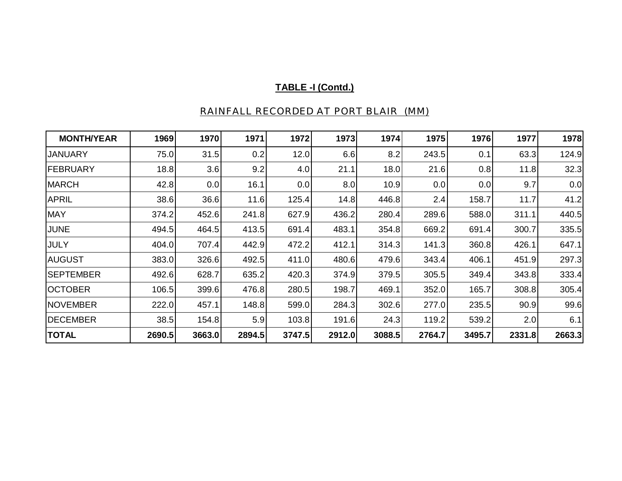| <b>MONTH/YEAR</b> | 1969   | 1970   | 1971   | 1972   | 1973   | 1974   | 1975   | 1976   | 1977   | 1978   |
|-------------------|--------|--------|--------|--------|--------|--------|--------|--------|--------|--------|
| <b>JANUARY</b>    | 75.0   | 31.5   | 0.2    | 12.0   | 6.6    | 8.2    | 243.5  | 0.1    | 63.3   | 124.9  |
| <b>FEBRUARY</b>   | 18.8   | 3.6    | 9.2    | 4.0    | 21.1   | 18.0   | 21.6   | 0.8    | 11.8   | 32.3   |
| <b>MARCH</b>      | 42.8   | 0.0    | 16.1   | 0.0    | 8.0    | 10.9   | 0.0    | 0.0    | 9.7    | 0.0    |
| <b>APRIL</b>      | 38.6   | 36.6   | 11.6   | 125.4  | 14.8   | 446.8  | 2.4    | 158.7  | 11.7   | 41.2   |
| <b>MAY</b>        | 374.2  | 452.6  | 241.8  | 627.9  | 436.2  | 280.4  | 289.6  | 588.0  | 311.1  | 440.5  |
| <b>JUNE</b>       | 494.5  | 464.5  | 413.5  | 691.4  | 483.1  | 354.8  | 669.2  | 691.4  | 300.7  | 335.5  |
| JULY              | 404.0  | 707.4  | 442.9  | 472.2  | 412.1  | 314.3  | 141.3  | 360.8  | 426.1  | 647.1  |
| <b>AUGUST</b>     | 383.0  | 326.6  | 492.5  | 411.0  | 480.6  | 479.6  | 343.4  | 406.1  | 451.9  | 297.3  |
| <b>SEPTEMBER</b>  | 492.6  | 628.7  | 635.2  | 420.3  | 374.9  | 379.5  | 305.5  | 349.4  | 343.8  | 333.4  |
| <b>OCTOBER</b>    | 106.5  | 399.6  | 476.8  | 280.5  | 198.7  | 469.1  | 352.0  | 165.7  | 308.8  | 305.4  |
| <b>NOVEMBER</b>   | 222.0  | 457.1  | 148.8  | 599.0  | 284.3  | 302.6  | 277.0  | 235.5  | 90.9   | 99.6   |
| <b>DECEMBER</b>   | 38.5   | 154.8  | 5.9    | 103.8  | 191.6  | 24.3   | 119.2  | 539.2  | 2.0    | 6.1    |
| <b>TOTAL</b>      | 2690.5 | 3663.0 | 2894.5 | 3747.5 | 2912.0 | 3088.5 | 2764.7 | 3495.7 | 2331.8 | 2663.3 |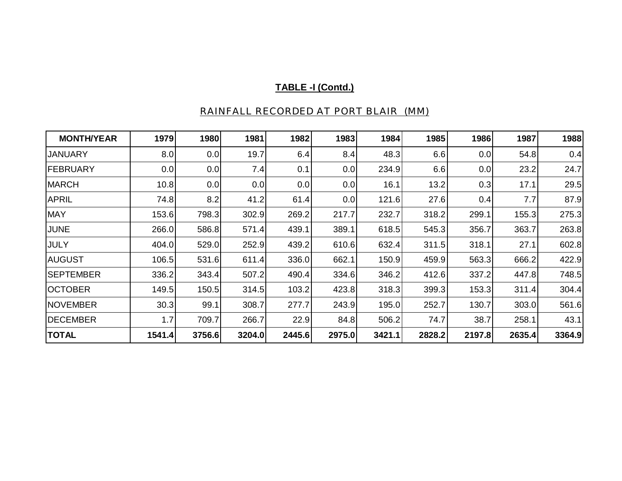| <b>MONTH/YEAR</b> | 1979   | 1980   | 1981   | 1982   | 1983   | 1984   | 1985   | 1986   | 1987   | 1988   |
|-------------------|--------|--------|--------|--------|--------|--------|--------|--------|--------|--------|
| <b>JANUARY</b>    | 8.0    | 0.0    | 19.7   | 6.4    | 8.4    | 48.3   | 6.6    | 0.0    | 54.8   | 0.4    |
| <b>FEBRUARY</b>   | 0.0    | 0.0    | 7.4    | 0.1    | 0.0    | 234.9  | 6.6    | 0.0    | 23.2   | 24.7   |
| <b>MARCH</b>      | 10.8   | 0.0    | 0.0    | 0.0    | 0.0    | 16.1   | 13.2   | 0.3    | 17.1   | 29.5   |
| <b>APRIL</b>      | 74.8   | 8.2    | 41.2   | 61.4   | 0.0    | 121.6  | 27.6   | 0.4    | 7.7    | 87.9   |
| <b>MAY</b>        | 153.6  | 798.3  | 302.9  | 269.2  | 217.7  | 232.7  | 318.2  | 299.1  | 155.3  | 275.3  |
| <b>JUNE</b>       | 266.0  | 586.8  | 571.4  | 439.1  | 389.1  | 618.5  | 545.3  | 356.7  | 363.7  | 263.8  |
| <b>JULY</b>       | 404.0  | 529.0  | 252.9  | 439.2  | 610.6  | 632.4  | 311.5  | 318.1  | 27.1   | 602.8  |
| <b>AUGUST</b>     | 106.5  | 531.6  | 611.4  | 336.0  | 662.1  | 150.9  | 459.9  | 563.3  | 666.2  | 422.9  |
| <b>SEPTEMBER</b>  | 336.2  | 343.4  | 507.2  | 490.4  | 334.6  | 346.2  | 412.6  | 337.2  | 447.8  | 748.5  |
| <b>OCTOBER</b>    | 149.5  | 150.5  | 314.5  | 103.2  | 423.8  | 318.3  | 399.3  | 153.3  | 311.4  | 304.4  |
| <b>NOVEMBER</b>   | 30.3   | 99.1   | 308.7  | 277.7  | 243.9  | 195.0  | 252.7  | 130.7  | 303.0  | 561.6  |
| <b>DECEMBER</b>   | 1.7    | 709.7  | 266.7  | 22.9   | 84.8   | 506.2  | 74.7   | 38.7   | 258.1  | 43.1   |
| <b>TOTAL</b>      | 1541.4 | 3756.6 | 3204.0 | 2445.6 | 2975.0 | 3421.1 | 2828.2 | 2197.8 | 2635.4 | 3364.9 |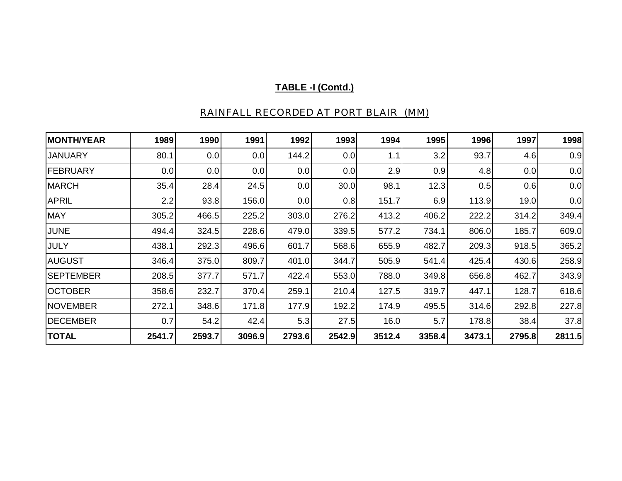| <b>MONTH/YEAR</b> | 1989   | 1990   | 1991   | 1992   | 1993   | 1994   | 1995   | 1996   | 1997   | 1998   |
|-------------------|--------|--------|--------|--------|--------|--------|--------|--------|--------|--------|
| <b>JANUARY</b>    | 80.1   | 0.0    | 0.0    | 144.2  | 0.0    | 1.1    | 3.2    | 93.7   | 4.6    | 0.9    |
| FEBRUARY          | 0.0    | 0.0    | 0.0    | 0.0    | 0.0    | 2.9    | 0.9    | 4.8    | 0.0    | 0.0    |
| <b>MARCH</b>      | 35.4   | 28.4   | 24.5   | 0.0    | 30.0   | 98.1   | 12.3   | 0.5    | 0.6    | 0.0    |
| <b>APRIL</b>      | 2.2    | 93.8   | 156.0  | 0.0    | 0.8    | 151.7  | 6.9    | 113.9  | 19.0   | 0.0    |
| <b>MAY</b>        | 305.2  | 466.5  | 225.2  | 303.0  | 276.2  | 413.2  | 406.2  | 222.2  | 314.2  | 349.4  |
| <b>JUNE</b>       | 494.4  | 324.5  | 228.6  | 479.0  | 339.5  | 577.2  | 734.1  | 806.0  | 185.7  | 609.0  |
| <b>JULY</b>       | 438.1  | 292.3  | 496.6  | 601.7  | 568.6  | 655.9  | 482.7  | 209.3  | 918.5  | 365.2  |
| <b>AUGUST</b>     | 346.4  | 375.0  | 809.7  | 401.0  | 344.7  | 505.9  | 541.4  | 425.4  | 430.6  | 258.9  |
| <b>SEPTEMBER</b>  | 208.5  | 377.7  | 571.7  | 422.4  | 553.0  | 788.0  | 349.8  | 656.8  | 462.7  | 343.9  |
| <b>OCTOBER</b>    | 358.6  | 232.7  | 370.4  | 259.1  | 210.4  | 127.5  | 319.7  | 447.1  | 128.7  | 618.6  |
| <b>NOVEMBER</b>   | 272.1  | 348.6  | 171.8  | 177.9  | 192.2  | 174.9  | 495.5  | 314.6  | 292.8  | 227.8  |
| DECEMBER          | 0.7    | 54.2   | 42.4   | 5.3    | 27.5   | 16.0   | 5.7    | 178.8  | 38.4   | 37.8   |
| <b>TOTAL</b>      | 2541.7 | 2593.7 | 3096.9 | 2793.6 | 2542.9 | 3512.4 | 3358.4 | 3473.1 | 2795.8 | 2811.5 |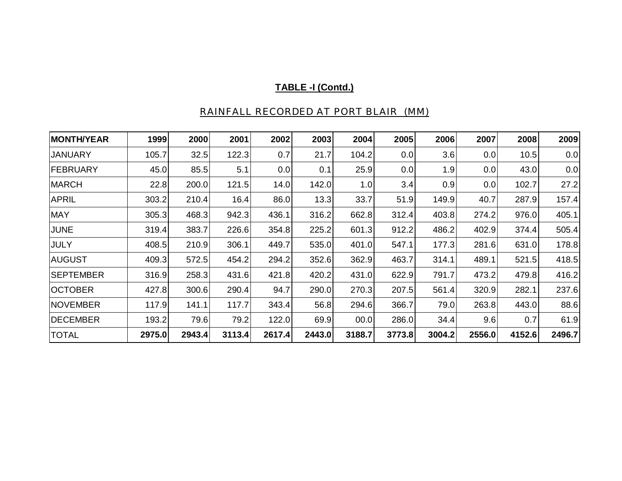| <b>MONTH/YEAR</b> | 1999   | 2000   | 2001   | 2002   | 2003   | 2004   | 2005   | 2006   | 2007   | 2008   | 2009   |
|-------------------|--------|--------|--------|--------|--------|--------|--------|--------|--------|--------|--------|
| <b>JANUARY</b>    | 105.7  | 32.5   | 122.3  | 0.7    | 21.7   | 104.2  | 0.0    | 3.6    | 0.0    | 10.5   | 0.0    |
| <b>FEBRUARY</b>   | 45.0   | 85.5   | 5.1    | 0.0    | 0.1    | 25.9   | 0.0    | 1.9    | 0.0    | 43.0   | 0.0    |
| <b>MARCH</b>      | 22.8   | 200.0  | 121.5  | 14.0   | 142.0  | 1.0    | 3.4    | 0.9    | 0.0    | 102.7  | 27.2   |
| <b>APRIL</b>      | 303.2  | 210.4  | 16.4   | 86.0   | 13.3   | 33.7   | 51.9   | 149.9  | 40.7   | 287.9  | 157.4  |
| <b>MAY</b>        | 305.3  | 468.3  | 942.3  | 436.1  | 316.2  | 662.8  | 312.4  | 403.8  | 274.2  | 976.0  | 405.1  |
| <b>JUNE</b>       | 319.4  | 383.7  | 226.6  | 354.8  | 225.2  | 601.3  | 912.2  | 486.2  | 402.9  | 374.4  | 505.4  |
| <b>JULY</b>       | 408.5  | 210.9  | 306.1  | 449.7  | 535.0  | 401.0  | 547.1  | 177.3  | 281.6  | 631.0  | 178.8  |
| <b>AUGUST</b>     | 409.3  | 572.5  | 454.2  | 294.2  | 352.6  | 362.9  | 463.7  | 314.1  | 489.1  | 521.5  | 418.5  |
| <b>SEPTEMBER</b>  | 316.9  | 258.3  | 431.6  | 421.8  | 420.2  | 431.0  | 622.9  | 791.7  | 473.2  | 479.8  | 416.2  |
| <b>OCTOBER</b>    | 427.8  | 300.6  | 290.4  | 94.7   | 290.0  | 270.3  | 207.5  | 561.4  | 320.9  | 282.1  | 237.6  |
| <b>NOVEMBER</b>   | 117.9  | 141.1  | 117.7  | 343.4  | 56.8   | 294.6  | 366.7  | 79.0   | 263.8  | 443.0  | 88.6   |
| <b>DECEMBER</b>   | 193.2  | 79.6   | 79.2   | 122.0  | 69.9   | 00.0   | 286.0  | 34.4   | 9.6    | 0.7    | 61.9   |
| <b>TOTAL</b>      | 2975.0 | 2943.4 | 3113.4 | 2617.4 | 2443.0 | 3188.7 | 3773.8 | 3004.2 | 2556.0 | 4152.6 | 2496.7 |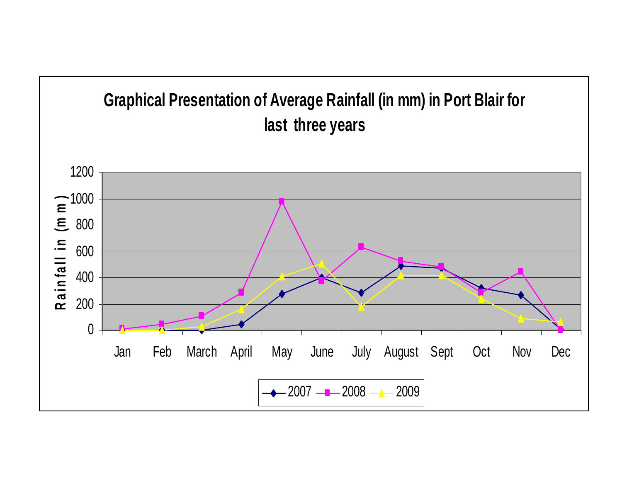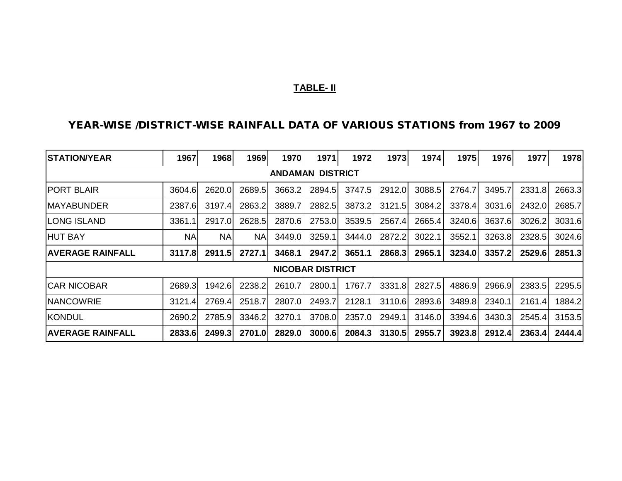### **TABLE- II**

### **YEAR-WISE /DISTRICT-WISE RAINFALL DATA OF VARIOUS STATIONS from 1967 to 2009**

| <b>ISTATION/YEAR</b>    | 1967                    | 1968   | 1969      | 1970   | 1971                    | 1972   | 1973   | 1974   | 1975   | 1976   | 1977   | 1978   |  |  |  |
|-------------------------|-------------------------|--------|-----------|--------|-------------------------|--------|--------|--------|--------|--------|--------|--------|--|--|--|
|                         | <b>ANDAMAN DISTRICT</b> |        |           |        |                         |        |        |        |        |        |        |        |  |  |  |
| <b>PORT BLAIR</b>       | 3604.6                  | 2620.0 | 2689.5    | 3663.2 | 2894.5                  | 3747.5 | 2912.0 | 3088.5 | 2764.7 | 3495.7 | 2331.8 | 2663.3 |  |  |  |
| <b>MAYABUNDER</b>       | 2387.6                  | 3197.4 | 2863.2    | 3889.7 | 2882.5                  | 3873.2 | 3121.5 | 3084.2 | 3378.4 | 3031.6 | 2432.0 | 2685.7 |  |  |  |
| <b>LONG ISLAND</b>      | 3361.1                  | 2917.0 | 2628.5    | 2870.6 | 2753.0                  | 3539.5 | 2567.4 | 2665.4 | 3240.6 | 3637.6 | 3026.2 | 3031.6 |  |  |  |
| <b>HUT BAY</b>          | <b>NA</b>               | NA     | <b>NA</b> | 3449.0 | 3259.1                  | 3444.0 | 2872.2 | 3022.1 | 3552.1 | 3263.8 | 2328.5 | 3024.6 |  |  |  |
| <b>AVERAGE RAINFALL</b> | 3117.8                  | 2911.5 | 2727.1    | 3468.1 | 2947.2                  | 3651.1 | 2868.3 | 2965.1 | 3234.0 | 3357.2 | 2529.6 | 2851.3 |  |  |  |
|                         |                         |        |           |        | <b>NICOBAR DISTRICT</b> |        |        |        |        |        |        |        |  |  |  |
| <b>ICAR NICOBAR</b>     | 2689.3                  | 1942.6 | 2238.2    | 2610.7 | 2800.1                  | 1767.7 | 3331.8 | 2827.5 | 4886.9 | 2966.9 | 2383.5 | 2295.5 |  |  |  |
| <b>NANCOWRIE</b>        | 3121.4                  | 2769.4 | 2518.7    | 2807.0 | 2493.7                  | 2128.1 | 3110.6 | 2893.6 | 3489.8 | 2340.1 | 2161.4 | 1884.2 |  |  |  |
| <b>KONDUL</b>           | 2690.2                  | 2785.9 | 3346.2    | 3270.1 | 3708.0                  | 2357.0 | 2949.1 | 3146.0 | 3394.6 | 3430.3 | 2545.4 | 3153.5 |  |  |  |
| <b>AVERAGE RAINFALL</b> | 2833.6                  | 2499.3 | 2701.0    | 2829.0 | 3000.6                  | 2084.3 | 3130.5 | 2955.7 | 3923.8 | 2912.4 | 2363.4 | 2444.4 |  |  |  |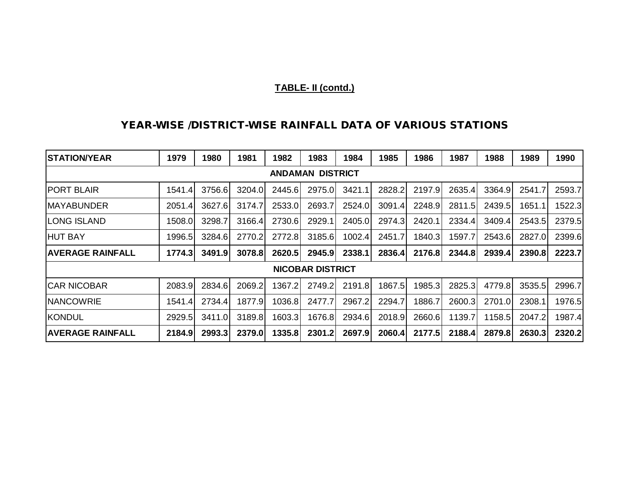### **TABLE- II (contd.)**

### **YEAR-WISE /DISTRICT-WISE RAINFALL DATA OF VARIOUS STATIONS**

| <b>STATION/YEAR</b>     | 1979   | 1980   | 1981   | 1982   | 1983                    | 1984   | 1985   | 1986   | 1987   | 1988   | 1989   | 1990   |
|-------------------------|--------|--------|--------|--------|-------------------------|--------|--------|--------|--------|--------|--------|--------|
|                         |        |        |        |        | <b>ANDAMAN DISTRICT</b> |        |        |        |        |        |        |        |
| <b>PORT BLAIR</b>       | 1541.4 | 3756.6 | 3204.0 | 2445.6 | 2975.0                  | 3421.1 | 2828.2 | 2197.9 | 2635.4 | 3364.9 | 2541.7 | 2593.7 |
| <b>MAYABUNDER</b>       | 2051.4 | 3627.6 | 3174.7 | 2533.0 | 2693.7                  | 2524.0 | 3091.4 | 2248.9 | 2811.5 | 2439.5 | 1651.1 | 1522.3 |
| <b>LONG ISLAND</b>      | 1508.0 | 3298.7 | 3166.4 | 2730.6 | 2929.1                  | 2405.0 | 2974.3 | 2420.1 | 2334.4 | 3409.4 | 2543.5 | 2379.5 |
| <b>HUT BAY</b>          | 1996.5 | 3284.6 | 2770.2 | 2772.8 | 3185.6                  | 1002.4 | 2451.7 | 1840.3 | 1597.7 | 2543.6 | 2827.0 | 2399.6 |
| <b>AVERAGE RAINFALL</b> | 1774.3 | 3491.9 | 3078.8 | 2620.5 | 2945.9                  | 2338.1 | 2836.4 | 2176.8 | 2344.8 | 2939.4 | 2390.8 | 2223.7 |
|                         |        |        |        |        | <b>NICOBAR DISTRICT</b> |        |        |        |        |        |        |        |
| <b>CAR NICOBAR</b>      | 2083.9 | 2834.6 | 2069.2 | 1367.2 | 2749.2                  | 2191.8 | 1867.5 | 1985.3 | 2825.3 | 4779.8 | 3535.5 | 2996.7 |
| <b>NANCOWRIE</b>        | 1541.4 | 2734.4 | 1877.9 | 1036.8 | 2477.7                  | 2967.2 | 2294.7 | 1886.7 | 2600.3 | 2701.0 | 2308.1 | 1976.5 |
| KONDUL                  | 2929.5 | 3411.0 | 3189.8 | 1603.3 | 1676.8                  | 2934.6 | 2018.9 | 2660.6 | 1139.7 | 1158.5 | 2047.2 | 1987.4 |
| <b>AVERAGE RAINFALL</b> | 2184.9 | 2993.3 | 2379.0 | 1335.8 | 2301.2                  | 2697.9 | 2060.4 | 2177.5 | 2188.4 | 2879.8 | 2630.3 | 2320.2 |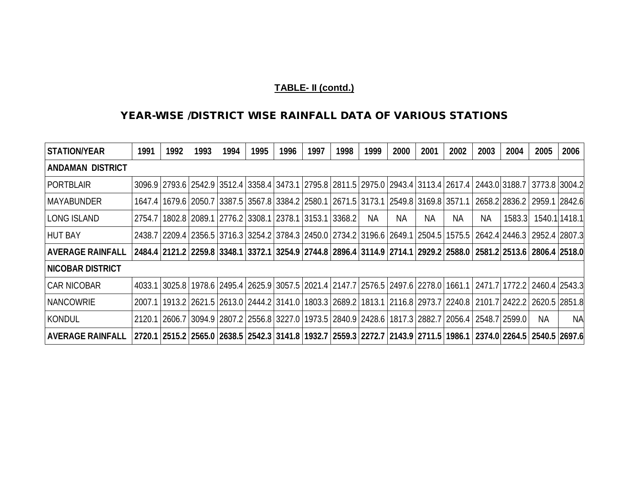# **TABLE- II (contd.)**

### **YEAR-WISE /DISTRICT WISE RAINFALL DATA OF VARIOUS STATIONS**

| <b>STATION/YEAR</b>     | 1991 | 1992                                                                                                                                          | 1993 | 1994 | 1995 | 1996 | 1997 | 1998 | 1999 | 2000 | 2001 | 2002 | 2003 | 2004           | 2005                              | 2006          |
|-------------------------|------|-----------------------------------------------------------------------------------------------------------------------------------------------|------|------|------|------|------|------|------|------|------|------|------|----------------|-----------------------------------|---------------|
| <b>ANDAMAN DISTRICT</b> |      |                                                                                                                                               |      |      |      |      |      |      |      |      |      |      |      |                |                                   |               |
| <b>PORTBLAIR</b>        |      | 3096.9 2793.6 2542.9 3512.4 3358.4 3473.1 2795.8 2811.5 2975.0 2943.4 3113.4 2617.4 2443.0 3188.7 3773.8 3004.2                               |      |      |      |      |      |      |      |      |      |      |      |                |                                   |               |
| MAYABUNDER              |      | 1647.4   1679.6   2050.7   3387.5   3567.8   3384.2   2580.1   2671.5   3173.1   2549.8   3169.8   3571.1                                     |      |      |      |      |      |      |      |      |      |      |      |                | 2658.2   2836.2   2959.1   2842.6 |               |
| <b>LONG ISLAND</b>      |      | 2754.7   1802.8   2089.1   2776.2   3308.1   2378.1   3153.1   3368.2                                                                         |      |      |      |      |      |      | NA.  | NA.  | NA.  | ΝA   | ΝA   | 1583.3         |                                   | 1540.1 1418.1 |
| <b>HUT BAY</b>          |      | 2438.7   2209.4   2356.5   3716.3   3254.2   3784.3   2450.0   2734.2   3196.6   2649.1   2504.5   1575.5   2642.4   2446.3   2952.4   2807.3 |      |      |      |      |      |      |      |      |      |      |      |                |                                   |               |
| <b>AVERAGE RAINFALL</b> |      | 2484.4  2121.2   2259.8   3348.1   3372.1   3254.9   2744.8   2896.4   3114.9   2714.1   2929.2   2588.0   2581.2   2513.6   2806.4   2518.0  |      |      |      |      |      |      |      |      |      |      |      |                |                                   |               |
| <b>NICOBAR DISTRICT</b> |      |                                                                                                                                               |      |      |      |      |      |      |      |      |      |      |      |                |                                   |               |
| <b>ICAR NICOBAR</b>     |      | 4033.1 3025.8 1978.6 2495.4 2625.9 3057.5 2021.4 2147.7 2576.5 2497.6 2278.0 1661.1                                                           |      |      |      |      |      |      |      |      |      |      |      |                | 2471.7 1772.2 2460.4 2543.3       |               |
| <b>INANCOWRIE</b>       |      | 2007.1   1913.2   2621.5   2613.0   2444.2   3141.0   1803.3   2689.2   1813.1   2116.8   2973.7   2240.8   2101.7   2422.2   2620.5   2851.8 |      |      |      |      |      |      |      |      |      |      |      |                |                                   |               |
| KONDUL                  |      | 2120.1 2606.7 3094.9 2807.2 2556.8 3227.0 1973.5 2840.9 2428.6 1817.3 2882.7 2056.4                                                           |      |      |      |      |      |      |      |      |      |      |      | 2548.712599.01 | <b>NA</b>                         | <b>NA</b>     |
| <b>AVERAGE RAINFALL</b> |      | 2720.1 2374.0 2264.5 2540.5 2697.6 2720.7 2559.3 2272.7 2143.9 2711.5 1986.1 2374.0 2264.5 2540.5 2697.6                                      |      |      |      |      |      |      |      |      |      |      |      |                |                                   |               |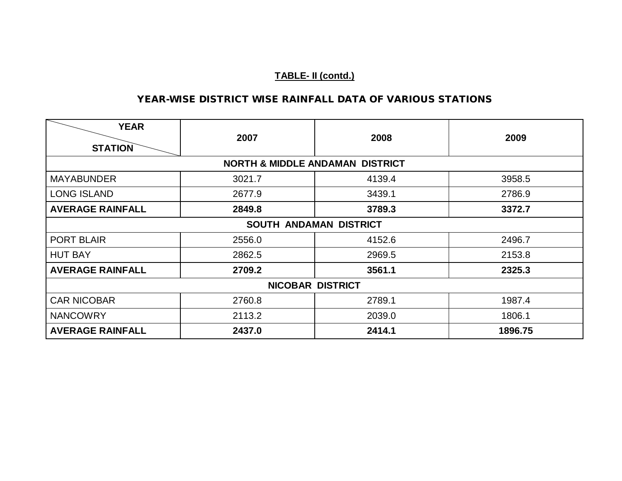# **TABLE- II (contd.)**

### **YEAR-WISE DISTRICT WISE RAINFALL DATA OF VARIOUS STATIONS**

| <b>YEAR</b><br><b>STATION</b> | 2007   | 2008                                       | 2009    |
|-------------------------------|--------|--------------------------------------------|---------|
|                               |        | <b>NORTH &amp; MIDDLE ANDAMAN DISTRICT</b> |         |
| <b>MAYABUNDER</b>             | 3021.7 | 4139.4                                     | 3958.5  |
| <b>LONG ISLAND</b>            | 2677.9 | 3439.1                                     | 2786.9  |
| <b>AVERAGE RAINFALL</b>       | 2849.8 | 3789.3                                     | 3372.7  |
|                               |        | SOUTH ANDAMAN DISTRICT                     |         |
| <b>PORT BLAIR</b>             | 2556.0 | 4152.6                                     | 2496.7  |
| <b>HUT BAY</b>                | 2862.5 | 2969.5                                     | 2153.8  |
| <b>AVERAGE RAINFALL</b>       | 2709.2 | 3561.1                                     | 2325.3  |
|                               |        | <b>NICOBAR DISTRICT</b>                    |         |
| <b>CAR NICOBAR</b>            | 2760.8 | 2789.1                                     | 1987.4  |
| <b>NANCOWRY</b>               | 2113.2 | 2039.0                                     | 1806.1  |
| <b>AVERAGE RAINFALL</b>       | 2437.0 | 2414.1                                     | 1896.75 |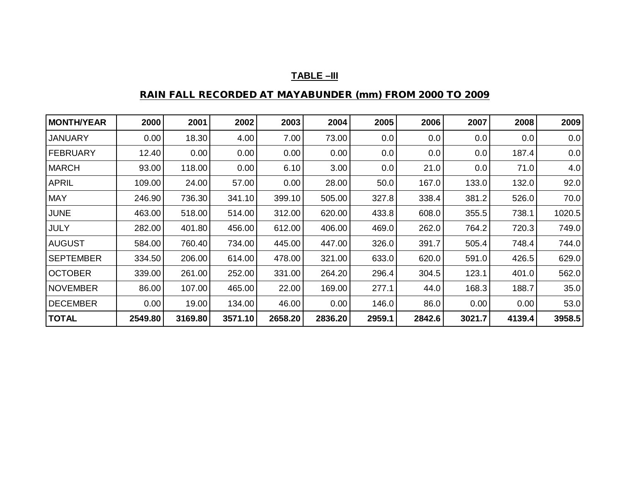# **TABLE –III**

# **RAIN FALL RECORDED AT MAYABUNDER (mm) FROM 2000 TO 2009**

| <b>MONTH/YEAR</b> | 2000    | 2001    | 2002    | 2003    | 2004    | 2005   | 2006   | 2007   | 2008   | 2009   |
|-------------------|---------|---------|---------|---------|---------|--------|--------|--------|--------|--------|
| <b>JANUARY</b>    | 0.00    | 18.30   | 4.00    | 7.00    | 73.00   | 0.0    | 0.0    | 0.0    | 0.0    | 0.0    |
| FEBRUARY          | 12.40   | 0.00    | 0.00    | 0.00    | 0.00    | 0.0    | 0.0    | 0.0    | 187.4  | 0.0    |
| <b>MARCH</b>      | 93.00   | 118.00  | 0.00    | 6.10    | 3.00    | 0.0    | 21.0   | 0.0    | 71.0   | 4.0    |
| <b>APRIL</b>      | 109.00  | 24.00   | 57.00   | 0.00    | 28.00   | 50.0   | 167.0  | 133.0  | 132.0  | 92.0   |
| <b>MAY</b>        | 246.90  | 736.30  | 341.10  | 399.10  | 505.00  | 327.8  | 338.4  | 381.2  | 526.0  | 70.0   |
| <b>JUNE</b>       | 463.00  | 518.00  | 514.00  | 312.00  | 620.00  | 433.8  | 608.0  | 355.5  | 738.1  | 1020.5 |
| <b>JULY</b>       | 282.00  | 401.80  | 456.00  | 612.00  | 406.00  | 469.0  | 262.0  | 764.2  | 720.3  | 749.0  |
| <b>AUGUST</b>     | 584.00  | 760.40  | 734.00  | 445.00  | 447.00  | 326.0  | 391.7  | 505.4  | 748.4  | 744.0  |
| <b>SEPTEMBER</b>  | 334.50  | 206.00  | 614.00  | 478.00  | 321.00  | 633.0  | 620.0  | 591.0  | 426.5  | 629.0  |
| <b>OCTOBER</b>    | 339.00  | 261.00  | 252.00  | 331.00  | 264.20  | 296.4  | 304.5  | 123.1  | 401.0  | 562.0  |
| NOVEMBER          | 86.00   | 107.00  | 465.00  | 22.00   | 169.00  | 277.1  | 44.0   | 168.3  | 188.7  | 35.0   |
| <b>DECEMBER</b>   | 0.00    | 19.00   | 134.00  | 46.00   | 0.00    | 146.0  | 86.0   | 0.00   | 0.00   | 53.0   |
| <b>TOTAL</b>      | 2549.80 | 3169.80 | 3571.10 | 2658.20 | 2836.20 | 2959.1 | 2842.6 | 3021.7 | 4139.4 | 3958.5 |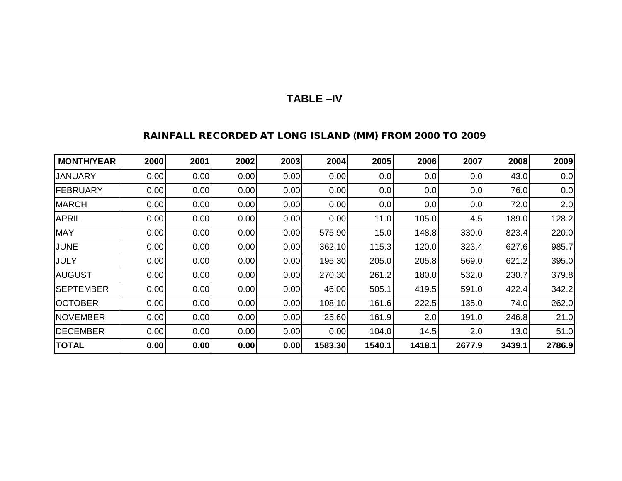# **TABLE –IV**

### **RAINFALL RECORDED AT LONG ISLAND (MM) FROM 2000 TO 2009**

| <b>MONTH/YEAR</b> | 2000 | 2001 | 2002 | 2003 | 2004    | 2005   | 2006   | 2007   | 2008   | 2009   |
|-------------------|------|------|------|------|---------|--------|--------|--------|--------|--------|
| <b>JANUARY</b>    | 0.00 | 0.00 | 0.00 | 0.00 | 0.00    | 0.0    | 0.0    | 0.0    | 43.0   | 0.0    |
| <b>FEBRUARY</b>   | 0.00 | 0.00 | 0.00 | 0.00 | 0.00    | 0.0    | 0.0    | 0.0    | 76.0   | 0.0    |
| <b>MARCH</b>      | 0.00 | 0.00 | 0.00 | 0.00 | 0.00    | 0.0    | 0.0    | 0.0    | 72.0   | 2.0    |
| <b>APRIL</b>      | 0.00 | 0.00 | 0.00 | 0.00 | 0.00    | 11.0   | 105.0  | 4.5    | 189.0  | 128.2  |
| <b>MAY</b>        | 0.00 | 0.00 | 0.00 | 0.00 | 575.90  | 15.0   | 148.8  | 330.0  | 823.4  | 220.0  |
| <b>JUNE</b>       | 0.00 | 0.00 | 0.00 | 0.00 | 362.10  | 115.3  | 120.0  | 323.4  | 627.6  | 985.7  |
| <b>JULY</b>       | 0.00 | 0.00 | 0.00 | 0.00 | 195.30  | 205.0  | 205.8  | 569.0  | 621.2  | 395.0  |
| <b>AUGUST</b>     | 0.00 | 0.00 | 0.00 | 0.00 | 270.30  | 261.2  | 180.0  | 532.0  | 230.7  | 379.8  |
| <b>SEPTEMBER</b>  | 0.00 | 0.00 | 0.00 | 0.00 | 46.00   | 505.1  | 419.5  | 591.0  | 422.4  | 342.2  |
| <b>IOCTOBER</b>   | 0.00 | 0.00 | 0.00 | 0.00 | 108.10  | 161.6  | 222.5  | 135.0  | 74.0   | 262.0  |
| <b>INOVEMBER</b>  | 0.00 | 0.00 | 0.00 | 0.00 | 25.60   | 161.9  | 2.0    | 191.0  | 246.8  | 21.0   |
| <b>DECEMBER</b>   | 0.00 | 0.00 | 0.00 | 0.00 | 0.00    | 104.0  | 14.5   | 2.0    | 13.0   | 51.0   |
| <b>TOTAL</b>      | 0.00 | 0.00 | 0.00 | 0.00 | 1583.30 | 1540.1 | 1418.1 | 2677.9 | 3439.1 | 2786.9 |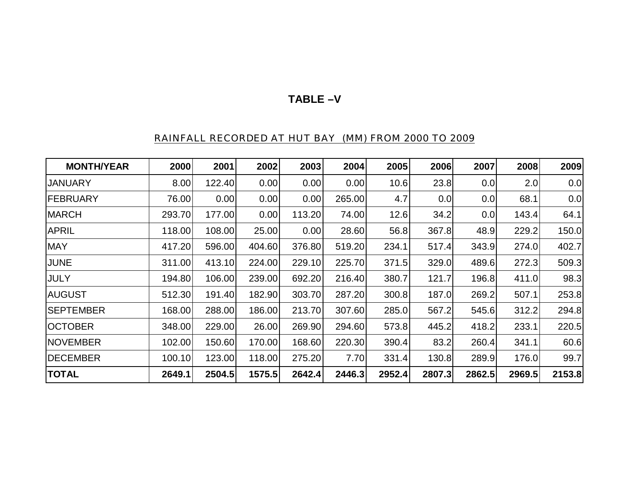# **TABLE –V**

# RAINFALL RECORDED AT HUT BAY (MM) FROM 2000 TO 2009

| <b>MONTH/YEAR</b> | 2000   | 2001   | 2002   | 2003   | 2004   | 2005   | 2006   | 2007   | 2008   | 2009   |
|-------------------|--------|--------|--------|--------|--------|--------|--------|--------|--------|--------|
| JANUARY           | 8.00   | 122.40 | 0.00   | 0.00   | 0.00   | 10.6   | 23.8   | 0.0    | 2.0    | 0.0    |
| IFEBRUARY         | 76.00  | 0.00   | 0.00   | 0.00   | 265.00 | 4.7    | 0.0    | 0.0    | 68.1   | 0.0    |
| <b>MARCH</b>      | 293.70 | 177.00 | 0.00   | 113.20 | 74.00  | 12.6   | 34.2   | 0.0    | 143.4  | 64.1   |
| <b>APRIL</b>      | 118.00 | 108.00 | 25.00  | 0.00   | 28.60  | 56.8   | 367.8  | 48.9   | 229.2  | 150.0  |
| <b>MAY</b>        | 417.20 | 596.00 | 404.60 | 376.80 | 519.20 | 234.1  | 517.4  | 343.9  | 274.0  | 402.7  |
| <b>JUNE</b>       | 311.00 | 413.10 | 224.00 | 229.10 | 225.70 | 371.5  | 329.0  | 489.6  | 272.3  | 509.3  |
| <b>JULY</b>       | 194.80 | 106.00 | 239.00 | 692.20 | 216.40 | 380.7  | 121.7  | 196.8  | 411.0  | 98.3   |
| <b>AUGUST</b>     | 512.30 | 191.40 | 182.90 | 303.70 | 287.20 | 300.8  | 187.0  | 269.2  | 507.1  | 253.8  |
| <b>SEPTEMBER</b>  | 168.00 | 288.00 | 186.00 | 213.70 | 307.60 | 285.0  | 567.2  | 545.6  | 312.2  | 294.8  |
| <b>OCTOBER</b>    | 348.00 | 229.00 | 26.00  | 269.90 | 294.60 | 573.8  | 445.2  | 418.2  | 233.1  | 220.5  |
| <b>NOVEMBER</b>   | 102.00 | 150.60 | 170.00 | 168.60 | 220.30 | 390.4  | 83.2   | 260.4  | 341.1  | 60.6   |
| <b>IDECEMBER</b>  | 100.10 | 123.00 | 118.00 | 275.20 | 7.70   | 331.4  | 130.8  | 289.9  | 176.0  | 99.7   |
| <b>TOTAL</b>      | 2649.1 | 2504.5 | 1575.5 | 2642.4 | 2446.3 | 2952.4 | 2807.3 | 2862.5 | 2969.5 | 2153.8 |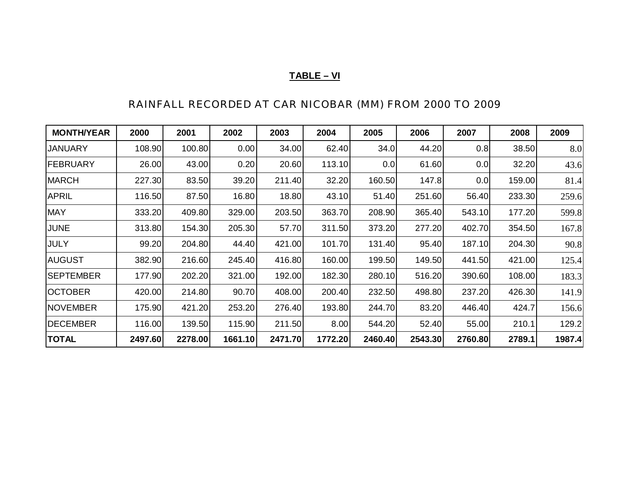# **TABLE – VI**

# RAINFALL RECORDED AT CAR NICOBAR (MM) FROM 2000 TO 2009

| <b>MONTH/YEAR</b> | 2000    | 2001    | 2002    | 2003    | 2004    | 2005    | 2006    | 2007    | 2008   | 2009   |
|-------------------|---------|---------|---------|---------|---------|---------|---------|---------|--------|--------|
| <b>JANUARY</b>    | 108.90  | 100.80  | 0.00    | 34.00   | 62.40   | 34.0    | 44.20   | 0.8     | 38.50  | 8.0    |
| <b>FEBRUARY</b>   | 26.00   | 43.00   | 0.20    | 20.60   | 113.10  | 0.0     | 61.60   | 0.0     | 32.20  | 43.6   |
| <b>MARCH</b>      | 227.30  | 83.50   | 39.20   | 211.40  | 32.20   | 160.50  | 147.8   | 0.0     | 159.00 | 81.4   |
| <b>APRIL</b>      | 116.50  | 87.50   | 16.80   | 18.80   | 43.10   | 51.40   | 251.60  | 56.40   | 233.30 | 259.6  |
| <b>MAY</b>        | 333.20  | 409.80  | 329.00  | 203.50  | 363.70  | 208.90  | 365.40  | 543.10  | 177.20 | 599.8  |
| <b>JUNE</b>       | 313.80  | 154.30  | 205.30  | 57.70   | 311.50  | 373.20  | 277.20  | 402.70  | 354.50 | 167.8  |
| <b>JULY</b>       | 99.20   | 204.80  | 44.40   | 421.00  | 101.70  | 131.40  | 95.40   | 187.10  | 204.30 | 90.8   |
| <b>AUGUST</b>     | 382.90  | 216.60  | 245.40  | 416.80  | 160.00  | 199.50  | 149.50  | 441.50  | 421.00 | 125.4  |
| <b>SEPTEMBER</b>  | 177.90  | 202.20  | 321.00  | 192.00  | 182.30  | 280.10  | 516.20  | 390.60  | 108.00 | 183.3  |
| <b>OCTOBER</b>    | 420.00  | 214.80  | 90.70   | 408.00  | 200.40  | 232.50  | 498.80  | 237.20  | 426.30 | 141.9  |
| <b>NOVEMBER</b>   | 175.90  | 421.20  | 253.20  | 276.40  | 193.80  | 244.70  | 83.20   | 446.40  | 424.7  | 156.6  |
| <b>DECEMBER</b>   | 116.00  | 139.50  | 115.90  | 211.50  | 8.00    | 544.20  | 52.40   | 55.00   | 210.1  | 129.2  |
| <b>TOTAL</b>      | 2497.60 | 2278.00 | 1661.10 | 2471.70 | 1772.20 | 2460.40 | 2543.30 | 2760.80 | 2789.1 | 1987.4 |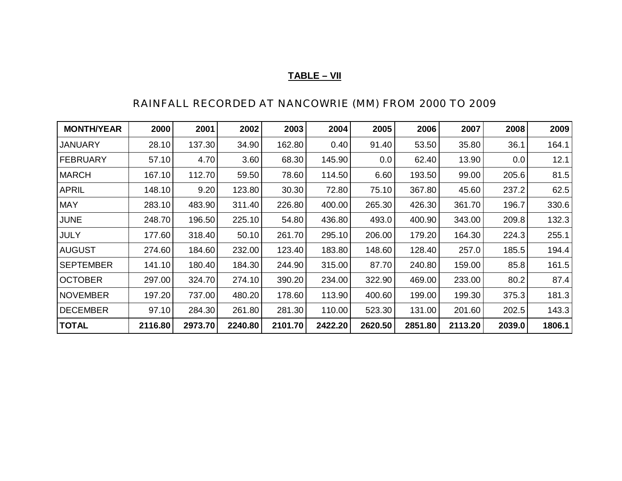# **TABLE – VII**

# RAINFALL RECORDED AT NANCOWRIE (MM) FROM 2000 TO 2009

| <b>MONTH/YEAR</b> | 2000    | 2001    | 2002    | 2003    | 2004    | 2005    | 2006    | 2007    | 2008   | 2009   |
|-------------------|---------|---------|---------|---------|---------|---------|---------|---------|--------|--------|
| JANUARY           | 28.10   | 137.30  | 34.90   | 162.80  | 0.40    | 91.40   | 53.50   | 35.80   | 36.1   | 164.1  |
| FEBRUARY          | 57.10   | 4.70    | 3.60    | 68.30   | 145.90  | 0.0     | 62.40   | 13.90   | 0.0    | 12.1   |
| <b>MARCH</b>      | 167.10  | 112.70  | 59.50   | 78.60   | 114.50  | 6.60    | 193.50  | 99.00   | 205.6  | 81.5   |
| <b>APRIL</b>      | 148.10  | 9.20    | 123.80  | 30.30   | 72.80   | 75.10   | 367.80  | 45.60   | 237.2  | 62.5   |
| <b>MAY</b>        | 283.10  | 483.90  | 311.40  | 226.80  | 400.00  | 265.30  | 426.30  | 361.70  | 196.7  | 330.6  |
| <b>JUNE</b>       | 248.70  | 196.50  | 225.10  | 54.80   | 436.80  | 493.0   | 400.90  | 343.00  | 209.8  | 132.3  |
| <b>JULY</b>       | 177.60  | 318.40  | 50.10   | 261.70  | 295.10  | 206.00  | 179.20  | 164.30  | 224.3  | 255.1  |
| <b>AUGUST</b>     | 274.60  | 184.60  | 232.00  | 123.40  | 183.80  | 148.60  | 128.40  | 257.0   | 185.5  | 194.4  |
| <b>SEPTEMBER</b>  | 141.10  | 180.40  | 184.30  | 244.90  | 315.00  | 87.70   | 240.80  | 159.00  | 85.8   | 161.5  |
| <b>OCTOBER</b>    | 297.00  | 324.70  | 274.10  | 390.20  | 234.00  | 322.90  | 469.00  | 233.00  | 80.2   | 87.4   |
| <b>NOVEMBER</b>   | 197.20  | 737.00  | 480.20  | 178.60  | 113.90  | 400.60  | 199.00  | 199.30  | 375.3  | 181.3  |
| <b>DECEMBER</b>   | 97.10   | 284.30  | 261.80  | 281.30  | 110.00  | 523.30  | 131.00  | 201.60  | 202.5  | 143.3  |
| <b>TOTAL</b>      | 2116.80 | 2973.70 | 2240.80 | 2101.70 | 2422.20 | 2620.50 | 2851.80 | 2113.20 | 2039.0 | 1806.1 |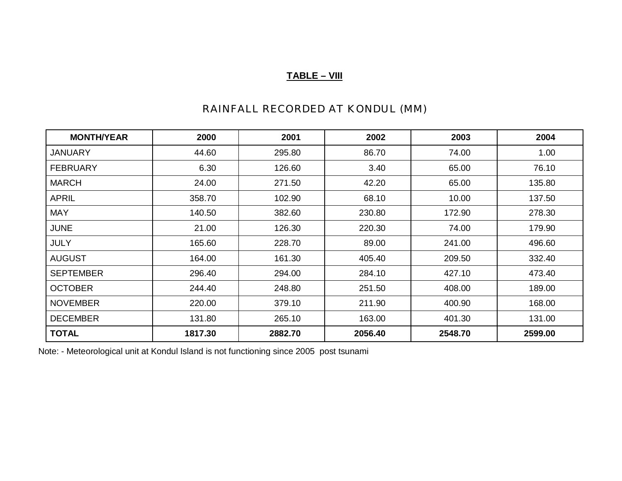# **TABLE – VIII**

# RAINFALL RECORDED AT KONDUL (MM)

| <b>MONTH/YEAR</b> | 2000    | 2001    | 2002    | 2003    | 2004    |
|-------------------|---------|---------|---------|---------|---------|
| <b>JANUARY</b>    | 44.60   | 295.80  | 86.70   | 74.00   | 1.00    |
| <b>FEBRUARY</b>   | 6.30    | 126.60  | 3.40    | 65.00   | 76.10   |
| <b>MARCH</b>      | 24.00   | 271.50  | 42.20   | 65.00   | 135.80  |
| <b>APRIL</b>      | 358.70  | 102.90  | 68.10   | 10.00   | 137.50  |
| <b>MAY</b>        | 140.50  | 382.60  | 230.80  | 172.90  | 278.30  |
| <b>JUNE</b>       | 21.00   | 126.30  | 220.30  | 74.00   | 179.90  |
| <b>JULY</b>       | 165.60  | 228.70  | 89.00   | 241.00  | 496.60  |
| <b>AUGUST</b>     | 164.00  | 161.30  | 405.40  | 209.50  | 332.40  |
| <b>SEPTEMBER</b>  | 296.40  | 294.00  | 284.10  | 427.10  | 473.40  |
| <b>OCTOBER</b>    | 244.40  | 248.80  | 251.50  | 408.00  | 189.00  |
| <b>NOVEMBER</b>   | 220.00  | 379.10  | 211.90  | 400.90  | 168.00  |
| <b>DECEMBER</b>   | 131.80  | 265.10  | 163.00  | 401.30  | 131.00  |
| <b>TOTAL</b>      | 1817.30 | 2882.70 | 2056.40 | 2548.70 | 2599.00 |

Note: - Meteorological unit at Kondul Island is not functioning since 2005 post tsunami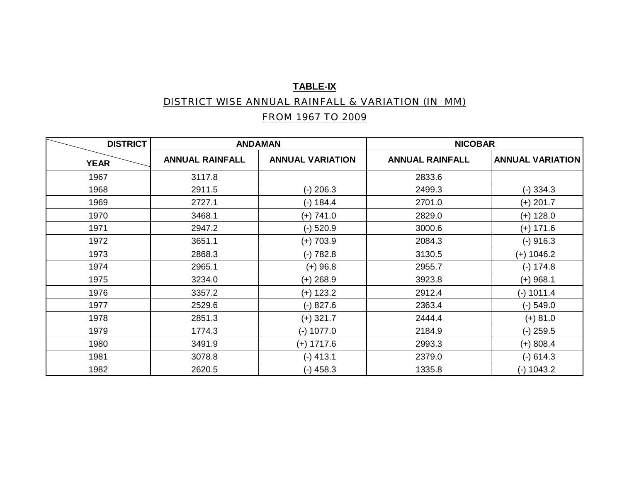# **TABLE-IX**

# DISTRICT WISE ANNUAL RAINFALL & VARIATION (IN MM)

# FROM 1967 TO 2009

| <b>DISTRICT</b> |                        | <b>ANDAMAN</b>          | <b>NICOBAR</b>         |                         |  |
|-----------------|------------------------|-------------------------|------------------------|-------------------------|--|
| <b>YEAR</b>     | <b>ANNUAL RAINFALL</b> | <b>ANNUAL VARIATION</b> | <b>ANNUAL RAINFALL</b> | <b>ANNUAL VARIATION</b> |  |
| 1967            | 3117.8                 |                         | 2833.6                 |                         |  |
| 1968            | 2911.5                 | $(-)$ 206.3             | 2499.3                 | $(-)$ 334.3             |  |
| 1969            | 2727.1                 | $(-) 184.4$             | 2701.0                 | $(+) 201.7$             |  |
| 1970            | 3468.1                 | $(+) 741.0$             | 2829.0                 | $(+)$ 128.0             |  |
| 1971            | 2947.2                 | $(-)$ 520.9             | 3000.6                 | $(+)$ 171.6             |  |
| 1972            | 3651.1                 | $(+) 703.9$             | 2084.3                 | $(-)$ 916.3             |  |
| 1973            | 2868.3                 | $(-) 782.8$             | 3130.5                 | $(+)$ 1046.2            |  |
| 1974            | 2965.1                 | $(+) 96.8$              | 2955.7                 | $(-) 174.8$             |  |
| 1975            | 3234.0                 | $(+)$ 268.9             | 3923.8                 | $(+)$ 968.1             |  |
| 1976            | 3357.2                 | $(+)$ 123.2             | 2912.4                 | $(-)$ 1011.4            |  |
| 1977            | 2529.6                 | $(-) 827.6$             | 2363.4                 | $(-)$ 549.0             |  |
| 1978            | 2851.3                 | $(+)$ 321.7             | 2444.4                 | $(+) 81.0$              |  |
| 1979            | 1774.3                 | $(-)$ 1077.0            | 2184.9                 | $(-)$ 259.5             |  |
| 1980            | 3491.9                 | $(+)$ 1717.6            | 2993.3                 | $(+) 808.4$             |  |
| 1981            | 3078.8                 | $(-)$ 413.1             | 2379.0                 | $(-)$ 614.3             |  |
| 1982            | 2620.5                 | $(-)$ 458.3             | 1335.8                 | $(-)$ 1043.2            |  |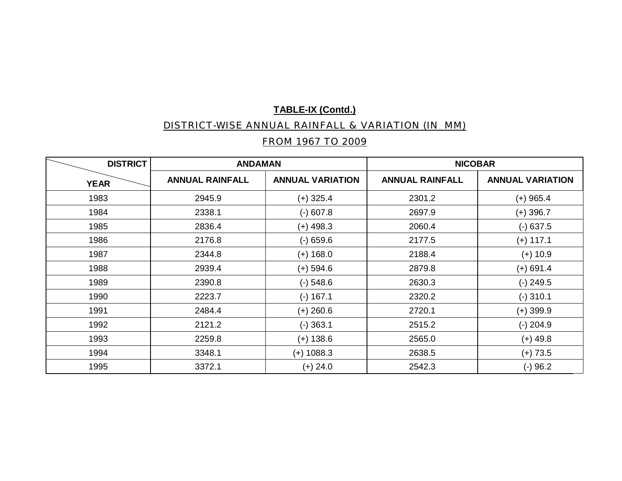#### DISTRICT-WISE ANNUAL RAINFALL & VARIATION (IN MM)

# FROM 1967 TO 2009

| <b>DISTRICT</b> | <b>ANDAMAN</b>         |                         | <b>NICOBAR</b>         |                         |  |
|-----------------|------------------------|-------------------------|------------------------|-------------------------|--|
| <b>YEAR</b>     | <b>ANNUAL RAINFALL</b> | <b>ANNUAL VARIATION</b> | <b>ANNUAL RAINFALL</b> | <b>ANNUAL VARIATION</b> |  |
| 1983            | 2945.9                 | $(+)$ 325.4             | 2301.2                 | $(+)$ 965.4             |  |
| 1984            | 2338.1                 | $(-) 607.8$             | 2697.9                 | $(+)$ 396.7             |  |
| 1985            | 2836.4                 | $(+)$ 498.3             | 2060.4                 | $(-)$ 637.5             |  |
| 1986            | 2176.8                 | $(-)$ 659.6             | 2177.5                 | $(+)$ 117.1             |  |
| 1987            | 2344.8                 | $(+)$ 168.0             | 2188.4                 | $(+)$ 10.9              |  |
| 1988            | 2939.4                 | $(+)$ 594.6             | 2879.8                 | $(+)$ 691.4             |  |
| 1989            | 2390.8                 | $(-)$ 548.6             | 2630.3                 | $(-)$ 249.5             |  |
| 1990            | 2223.7                 | $(-) 167.1$             | 2320.2                 | $(-)$ 310.1             |  |
| 1991            | 2484.4                 | $(+)$ 260.6             | 2720.1                 | $(+)$ 399.9             |  |
| 1992            | 2121.2                 | $(-)$ 363.1             | 2515.2                 | $(-)$ 204.9             |  |
| 1993            | 2259.8                 | $(+)$ 138.6             | 2565.0                 | $(+)$ 49.8              |  |
| 1994            | 3348.1                 | $(+)$ 1088.3            | 2638.5                 | $(+) 73.5$              |  |
| 1995            | 3372.1                 | $(+)$ 24.0              | 2542.3                 | $(-) 96.2$              |  |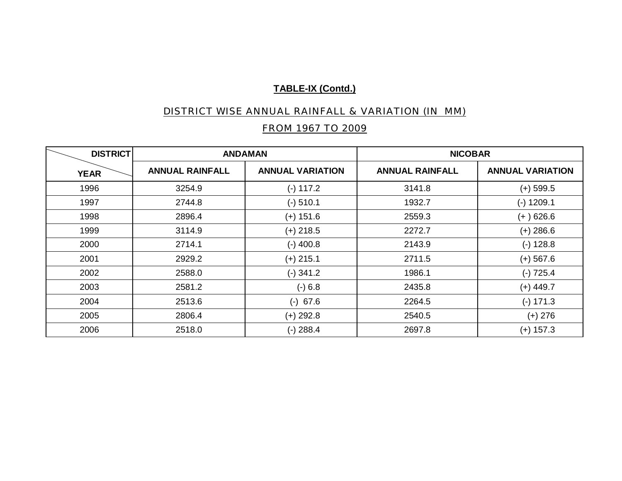# DISTRICT WISE ANNUAL RAINFALL & VARIATION (IN MM)

# FROM 1967 TO 2009

| <b>DISTRICT</b> |                        | <b>ANDAMAN</b>          | <b>NICOBAR</b>         |                         |
|-----------------|------------------------|-------------------------|------------------------|-------------------------|
| <b>YEAR</b>     | <b>ANNUAL RAINFALL</b> | <b>ANNUAL VARIATION</b> | <b>ANNUAL RAINFALL</b> | <b>ANNUAL VARIATION</b> |
| 1996            | 3254.9                 | $(-) 117.2$             | 3141.8                 | $(+)$ 599.5             |
| 1997            | 2744.8                 | $(-)$ 510.1             | 1932.7                 | $(-)$ 1209.1            |
| 1998            | 2896.4                 | $(+)$ 151.6             | 2559.3                 | $(+)$ 626.6             |
| 1999            | 3114.9                 | $(+)$ 218.5             | 2272.7                 | $(+)$ 286.6             |
| 2000            | 2714.1                 | $(-)$ 400.8             | 2143.9                 | $(-)$ 128.8             |
| 2001            | 2929.2                 | $(+)$ 215.1             | 2711.5                 | $(+)$ 567.6             |
| 2002            | 2588.0                 | $(-)$ 341.2             | 1986.1                 | $(-) 725.4$             |
| 2003            | 2581.2                 | $(-) 6.8$               | 2435.8                 | $(+)$ 449.7             |
| 2004            | 2513.6                 | $(-)$ 67.6              | 2264.5                 | $(-) 171.3$             |
| 2005            | 2806.4                 | $(+)$ 292.8             | 2540.5                 | $(+)$ 276               |
| 2006            | 2518.0                 | $(-)$ 288.4             | 2697.8                 | $(+)$ 157.3             |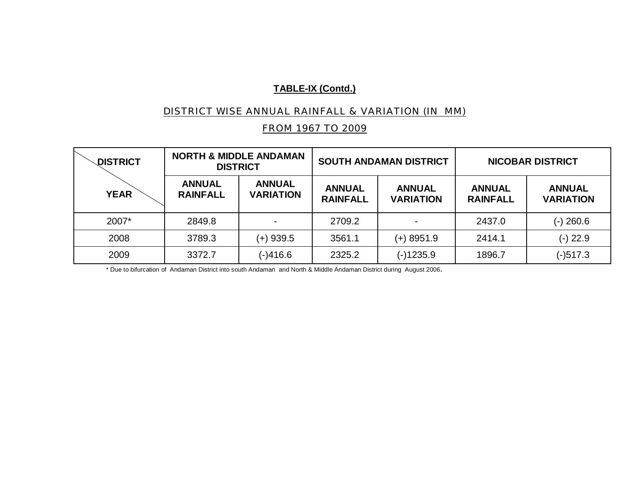#### DISTRICT WISE ANNUAL RAINFALL & VARIATION (IN MM)

# FROM 1967 TO 2009

| <b>DISTRICT</b> |                                  | <b>NORTH &amp; MIDDLE ANDAMAN</b><br><b>DISTRICT</b> | <b>SOUTH ANDAMAN DISTRICT</b>    |                                   | <b>NICOBAR DISTRICT</b>          |                                   |
|-----------------|----------------------------------|------------------------------------------------------|----------------------------------|-----------------------------------|----------------------------------|-----------------------------------|
| <b>YEAR</b>     | <b>ANNUAL</b><br><b>RAINFALL</b> | <b>ANNUAL</b><br><b>VARIATION</b>                    | <b>ANNUAL</b><br><b>RAINFALL</b> | <b>ANNUAL</b><br><b>VARIATION</b> | <b>ANNUAL</b><br><b>RAINFALL</b> | <b>ANNUAL</b><br><b>VARIATION</b> |
| 2007*           | 2849.8                           |                                                      | 2709.2                           | $\overline{\phantom{0}}$          | 2437.0                           | $(-)$ 260.6                       |
| 2008            | 3789.3                           | (+) 939.5                                            | 3561.1                           | (+) 8951.9                        | 2414.1                           | $(-)$ 22.9                        |
| 2009            | 3372.7                           | (-)416.6                                             | 2325.2                           | (-)1235.9                         | 1896.7                           | $(-)517.3$                        |

\* Due to bifurcation of Andaman District into south Andaman and North & Middle Andaman District during August 2006.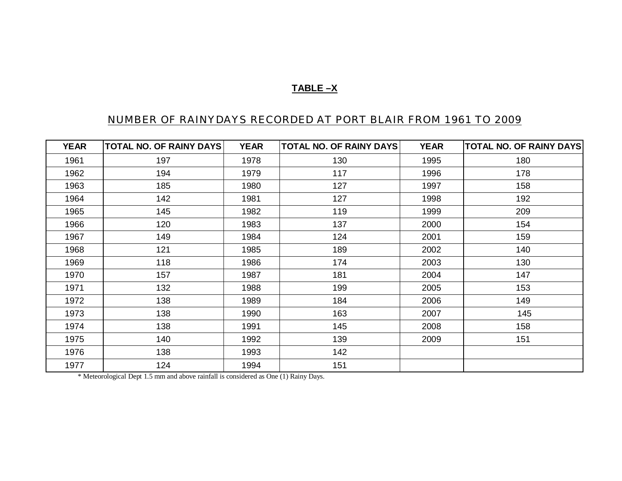# **TABLE –X**

# NUMBER OF RAINYDAYS RECORDED AT PORT BLAIR FROM 1961 TO 2009

| <b>YEAR</b> | <b>TOTAL NO. OF RAINY DAYS</b> | <b>YEAR</b> | <b>TOTAL NO. OF RAINY DAYS</b> | <b>YEAR</b> | <b>TOTAL NO. OF RAINY DAYS</b> |
|-------------|--------------------------------|-------------|--------------------------------|-------------|--------------------------------|
| 1961        | 197                            | 1978        | 130                            | 1995        | 180                            |
| 1962        | 194                            | 1979        | 117                            | 1996        | 178                            |
| 1963        | 185                            | 1980        | 127                            | 1997        | 158                            |
| 1964        | 142                            | 1981        | 127                            | 1998        | 192                            |
| 1965        | 145                            | 1982        | 119                            | 1999        | 209                            |
| 1966        | 120                            | 1983        | 137                            | 2000        | 154                            |
| 1967        | 149                            | 1984        | 124                            | 2001        | 159                            |
| 1968        | 121                            | 1985        | 189                            | 2002        | 140                            |
| 1969        | 118                            | 1986        | 174                            | 2003        | 130                            |
| 1970        | 157                            | 1987        | 181                            | 2004        | 147                            |
| 1971        | 132                            | 1988        | 199                            | 2005        | 153                            |
| 1972        | 138                            | 1989        | 184                            | 2006        | 149                            |
| 1973        | 138                            | 1990        | 163                            | 2007        | 145                            |
| 1974        | 138                            | 1991        | 145                            | 2008        | 158                            |
| 1975        | 140                            | 1992        | 139                            | 2009        | 151                            |
| 1976        | 138                            | 1993        | 142                            |             |                                |
| 1977        | 124                            | 1994        | 151                            |             |                                |

\* Meteorological Dept 1.5 mm and above rainfall is considered as One (1) Rainy Days.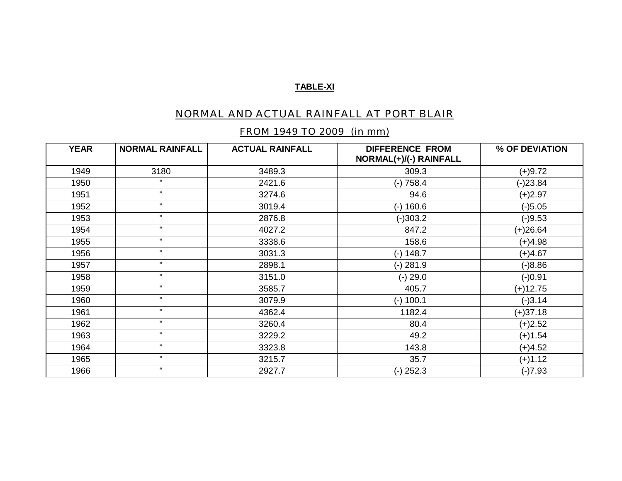#### **TABLE-XI**

# NORMAL AND ACTUAL RAINFALL AT PORT BLAIR

### FROM 1949 TO 2009 (in mm)

| <b>YEAR</b> | <b>NORMAL RAINFALL</b> | <b>ACTUAL RAINFALL</b> | <b>DIFFERENCE FROM</b><br>NORMAL(+)/(-) RAINFALL | % OF DEVIATION |
|-------------|------------------------|------------------------|--------------------------------------------------|----------------|
| 1949        | 3180                   | 3489.3                 | 309.3                                            | $(+)9.72$      |
| 1950        | $\mathbf{H}$           | 2421.6                 | $(-) 758.4$                                      | (-)23.84       |
| 1951        | $\mathbf H$            | 3274.6                 | 94.6                                             | $(+)2.97$      |
| 1952        | $\mathbf H$            | 3019.4                 | $(-)$ 160.6                                      | $(-)5.05$      |
| 1953        | $\mathbf{H}$           | 2876.8                 | $(-)303.2$                                       | $(-)9.53$      |
| 1954        | $\mathbf{H}$           | 4027.2                 | 847.2                                            | $(+)26.64$     |
| 1955        | $\mathbf H$            | 3338.6                 | 158.6                                            | $(+)4.98$      |
| 1956        | $\mathbf{H}$           | 3031.3                 | $(-) 148.7$                                      | $(+)4.67$      |
| 1957        | $\mathbf{H}$           | 2898.1                 | $(-)$ 281.9                                      | $(-)8.86$      |
| 1958        | $\mathbf H$            | 3151.0                 | $(-) 29.0$                                       | $(-)0.91$      |
| 1959        | $\mathbf{H}$           | 3585.7                 | 405.7                                            | (+)12.75       |
| 1960        | $\mathbf{H}$           | 3079.9                 | $(-)$ 100.1                                      | $(-)3.14$      |
| 1961        | $\mathbf H$            | 4362.4                 | 1182.4                                           | $(+)37.18$     |
| 1962        | $\mathbf{H}$           | 3260.4                 | 80.4                                             | $(+)2.52$      |
| 1963        | $\mathbf{H}$           | 3229.2                 | 49.2                                             | $(+)1.54$      |
| 1964        | $\mathbf H$            | 3323.8                 | 143.8                                            | $(+)4.52$      |
| 1965        | $\mathbf H$            | 3215.7                 | 35.7                                             | $(+)1.12$      |
| 1966        | $\mathbf H$            | 2927.7                 | $(-)$ 252.3                                      | $(-)7.93$      |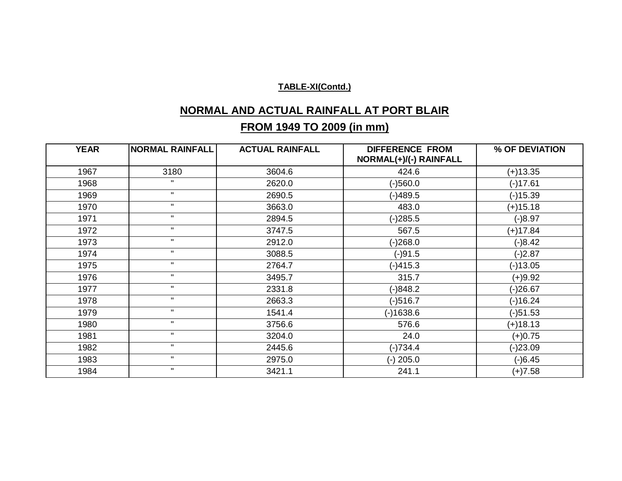# **NORMAL AND ACTUAL RAINFALL AT PORT BLAIR**

# **FROM 1949 TO 2009 (in mm)**

| <b>YEAR</b> | <b>NORMAL RAINFALL</b> | <b>ACTUAL RAINFALL</b> | <b>DIFFERENCE FROM</b><br>NORMAL(+)/(-) RAINFALL | % OF DEVIATION |
|-------------|------------------------|------------------------|--------------------------------------------------|----------------|
| 1967        | 3180                   | 3604.6                 | 424.6                                            | $(+)13.35$     |
| 1968        | $\mathbf{H}$           | 2620.0                 | $(-)560.0$                                       | $(-)17.61$     |
| 1969        | $\mathbf H$            | 2690.5                 | $(-)489.5$                                       | $(-)15.39$     |
| 1970        | $\mathbf{H}$           | 3663.0                 | 483.0                                            | $(+)15.18$     |
| 1971        | $\mathbf{H}$           | 2894.5                 | $(-)285.5$                                       | $(-)8.97$      |
| 1972        | $\mathbf H$            | 3747.5                 | 567.5                                            | $(+)17.84$     |
| 1973        | $\mathbf{H}$           | 2912.0                 | $(-)268.0$                                       | $(-)8.42$      |
| 1974        | $\mathbf{H}$           | 3088.5                 | $(-)91.5$                                        | $(-)2.87$      |
| 1975        | $\mathbf{H}$           | 2764.7                 | $(-)415.3$                                       | $(-)13.05$     |
| 1976        | $\mathbf H$            | 3495.7                 | 315.7                                            | $(+)9.92$      |
| 1977        | $\mathbf H$            | 2331.8                 | $(-)848.2$                                       | (-)26.67       |
| 1978        | $\mathbf{H}$           | 2663.3                 | $(-)516.7$                                       | $(-)16.24$     |
| 1979        | $\mathbf H$            | 1541.4                 | $(-)1638.6$                                      | $(-)51.53$     |
| 1980        | $\mathbf{H}$           | 3756.6                 | 576.6                                            | $(+)18.13$     |
| 1981        | $\mathbf{u}$           | 3204.0                 | 24.0                                             | $(+)0.75$      |
| 1982        | $\mathbf{H}$           | 2445.6                 | $(-)734.4$                                       | $(-)23.09$     |
| 1983        | $\mathbf H$            | 2975.0                 | $(-)$ 205.0                                      | $(-)6.45$      |
| 1984        | $\mathbf H$            | 3421.1                 | 241.1                                            | $(+)7.58$      |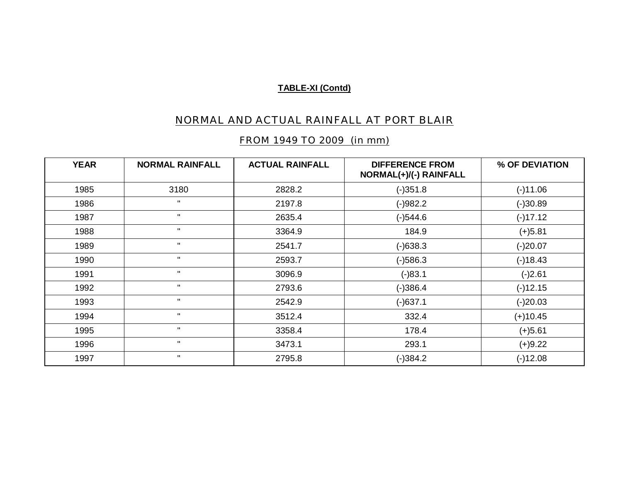# NORMAL AND ACTUAL RAINFALL AT PORT BLAIR

### FROM 1949 TO 2009 (in mm)

| <b>YEAR</b> | <b>NORMAL RAINFALL</b> | <b>ACTUAL RAINFALL</b> | <b>DIFFERENCE FROM</b><br>NORMAL(+)/(-) RAINFALL | % OF DEVIATION |
|-------------|------------------------|------------------------|--------------------------------------------------|----------------|
| 1985        | 3180                   | 2828.2                 | $(-)351.8$                                       | $(-)11.06$     |
| 1986        | $\mathbf{u}$           | 2197.8                 | $(-)982.2$                                       | $(-)30.89$     |
| 1987        | $\mathbf{u}$           | 2635.4                 | $(-)544.6$                                       | $(-)17.12$     |
| 1988        | $\mathbf{u}$           | 3364.9                 | 184.9                                            | $(+)5.81$      |
| 1989        | $\mathbf{u}$           | 2541.7                 | $(-)638.3$                                       | $(-)20.07$     |
| 1990        | $\mathbf{u}$           | 2593.7                 | $(-)586.3$                                       | $(-)18.43$     |
| 1991        | $\mathbf{u}$           | 3096.9                 | $(-)83.1$                                        | $(-)2.61$      |
| 1992        | $\mathbf{u}$           | 2793.6                 | $(-)386.4$                                       | $(-)12.15$     |
| 1993        | $\mathbf{u}$           | 2542.9                 | $(-)637.1$                                       | $(-)20.03$     |
| 1994        | $\mathbf{u}$           | 3512.4                 | 332.4                                            | $(+)10.45$     |
| 1995        | $\mathbf{H}$           | 3358.4                 | 178.4                                            | $(+)5.61$      |
| 1996        | $\mathbf{H}$           | 3473.1                 | 293.1                                            | $(+)9.22$      |
| 1997        | $\mathbf{u}$           | 2795.8                 | $(-)384.2$                                       | $(-)12.08$     |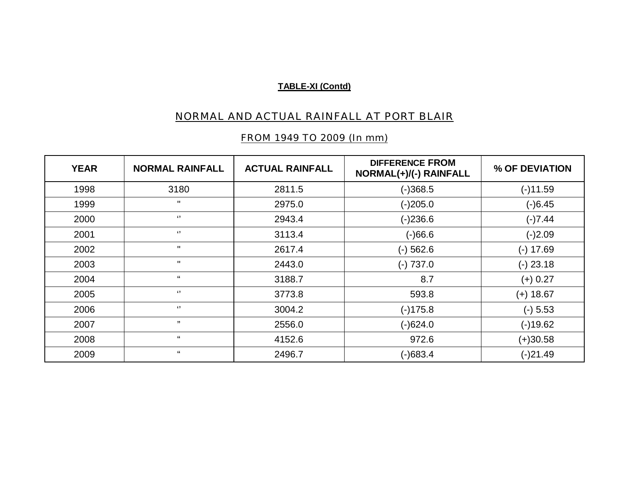# NORMAL AND ACTUAL RAINFALL AT PORT BLAIR

# FROM 1949 TO 2009 (In mm)

| <b>YEAR</b> | <b>NORMAL RAINFALL</b> | <b>ACTUAL RAINFALL</b> | <b>DIFFERENCE FROM</b><br>NORMAL(+)/(-) RAINFALL | % OF DEVIATION |
|-------------|------------------------|------------------------|--------------------------------------------------|----------------|
| 1998        | 3180                   | 2811.5                 | $(-)368.5$                                       | $(-)11.59$     |
| 1999        | $\mathbf{H}$           | 2975.0                 | $(-)205.0$                                       | $(-)6.45$      |
| 2000        | $\lq$                  | 2943.4                 | $(-)236.6$                                       | $(-)7.44$      |
| 2001        | $\lq$                  | 3113.4                 | (4.66)                                           | $(-)2.09$      |
| 2002        | $\mathbf{H}$           | 2617.4                 | $(-)$ 562.6                                      | $(-) 17.69$    |
| 2003        | $\mathbf{H}$           | 2443.0                 | $(-) 737.0$                                      | $(-)$ 23.18    |
| 2004        | $\mathbf{G}$           | 3188.7                 | 8.7                                              | $(+) 0.27$     |
| 2005        | $\lq$                  | 3773.8                 | 593.8                                            | $(+)$ 18.67    |
| 2006        | $\lq$ )                | 3004.2                 | $(-)175.8$                                       | $(-) 5.53$     |
| 2007        | ,,                     | 2556.0                 | $(-)624.0$                                       | $(-)19.62$     |
| 2008        | $\mathbf{G}$           | 4152.6                 | 972.6                                            | $(+)30.58$     |
| 2009        | $\mathbf{G}$           | 2496.7                 | $(-)683.4$                                       | $(-)21.49$     |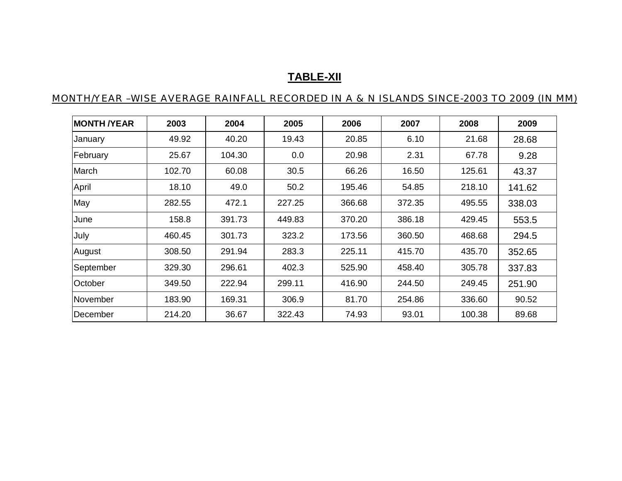# **TABLE-XII**

### MONTH/YEAR –WISE AVERAGE RAINFALL RECORDED IN A & N ISLANDS SINCE-2003 TO 2009 (IN MM)

| <b>MONTH /YEAR</b> | 2003   | 2004   | 2005   | 2006   | 2007   | 2008   | 2009   |
|--------------------|--------|--------|--------|--------|--------|--------|--------|
| January            | 49.92  | 40.20  | 19.43  | 20.85  | 6.10   | 21.68  | 28.68  |
| February           | 25.67  | 104.30 | 0.0    | 20.98  | 2.31   | 67.78  | 9.28   |
| March              | 102.70 | 60.08  | 30.5   | 66.26  | 16.50  | 125.61 | 43.37  |
| April              | 18.10  | 49.0   | 50.2   | 195.46 | 54.85  | 218.10 | 141.62 |
| May                | 282.55 | 472.1  | 227.25 | 366.68 | 372.35 | 495.55 | 338.03 |
| June               | 158.8  | 391.73 | 449.83 | 370.20 | 386.18 | 429.45 | 553.5  |
| July               | 460.45 | 301.73 | 323.2  | 173.56 | 360.50 | 468.68 | 294.5  |
| August             | 308.50 | 291.94 | 283.3  | 225.11 | 415.70 | 435.70 | 352.65 |
| September          | 329.30 | 296.61 | 402.3  | 525.90 | 458.40 | 305.78 | 337.83 |
| October            | 349.50 | 222.94 | 299.11 | 416.90 | 244.50 | 249.45 | 251.90 |
| November           | 183.90 | 169.31 | 306.9  | 81.70  | 254.86 | 336.60 | 90.52  |
| December           | 214.20 | 36.67  | 322.43 | 74.93  | 93.01  | 100.38 | 89.68  |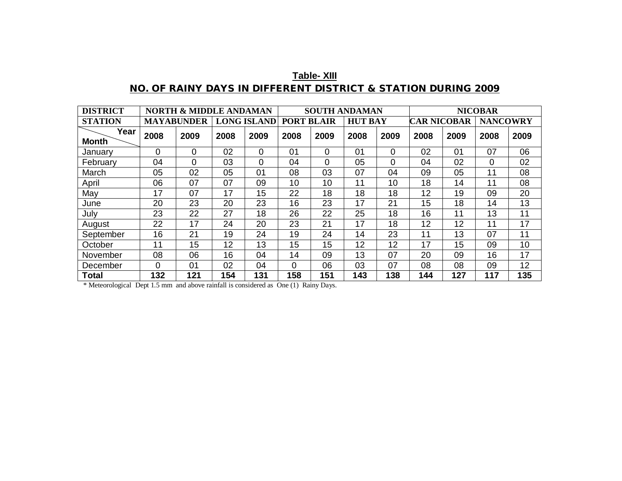| <b>Table- XIII</b>                                            |  |  |  |  |  |  |  |
|---------------------------------------------------------------|--|--|--|--|--|--|--|
| NO. OF RAINY DAYS IN DIFFERENT DISTRICT & STATION DURING 2009 |  |  |  |  |  |  |  |

| <b>DISTRICT</b>      | <b>NORTH &amp; MIDDLE ANDAMAN</b> |                |                    | <b>SOUTH ANDAMAN</b> |                   |      |                | <b>NICOBAR</b> |                    |      |                 |      |
|----------------------|-----------------------------------|----------------|--------------------|----------------------|-------------------|------|----------------|----------------|--------------------|------|-----------------|------|
| <b>STATION</b>       | <b>MAYABUNDER</b>                 |                | <b>LONG ISLAND</b> |                      | <b>PORT BLAIR</b> |      | <b>HUT BAY</b> |                | <b>CAR NICOBAR</b> |      | <b>NANCOWRY</b> |      |
| Year<br><b>Month</b> | 2008                              | 2009           | 2008               | 2009                 | 2008              | 2009 | 2008           | 2009           | 2008               | 2009 | 2008            | 2009 |
| January              | $\Omega$                          | 0              | 02                 | 0                    | 0 <sub>1</sub>    | 0    | 01             | 0              | 02                 | 01   | 07              | 06   |
| February             | 04                                | 0              | 03                 | 0                    | 04                | 0    | 05             | $\Omega$       | 04                 | 02   | $\Omega$        | 02   |
| March                | 05                                | 02             | 05                 | 01                   | 08                | 03   | 07             | 04             | 09                 | 05   | 11              | 08   |
| April                | 06                                | 07             | 07                 | 09                   | 10                | 10   | 11             | 10             | 18                 | 14   | 11              | 08   |
| May                  | 17                                | 07             | 17                 | 15                   | 22                | 18   | 18             | 18             | 12                 | 19   | 09              | 20   |
| June                 | 20                                | 23             | 20                 | 23                   | 16                | 23   | 17             | 21             | 15                 | 18   | 14              | 13   |
| July                 | 23                                | 22             | 27                 | 18                   | 26                | 22   | 25             | 18             | 16                 | 11   | 13              | 11   |
| August               | 22                                | 17             | 24                 | 20                   | 23                | 21   | 17             | 18             | 12                 | 12   | 11              | 17   |
| September            | 16                                | 21             | 19                 | 24                   | 19                | 24   | 14             | 23             | 11                 | 13   | 07              | 11   |
| October              | 11                                | 15             | 12                 | 13                   | 15                | 15   | 12             | 12             | 17                 | 15   | 09              | 10   |
| November             | 08                                | 06             | 16                 | 04                   | 14                | 09   | 13             | 07             | 20                 | 09   | 16              | 17   |
| December             | $\Omega$                          | 0 <sub>1</sub> | 02                 | 04                   | $\mathbf{0}$      | 06   | 03             | 07             | 08                 | 08   | 09              | 12   |
| Total                | 132                               | 121            | 154                | 131                  | 158               | 151  | 143            | 138            | 144                | 127  | 117             | 135  |

\* Meteorological Dept 1.5 mm and above rainfall is considered as One (1) Rainy Days.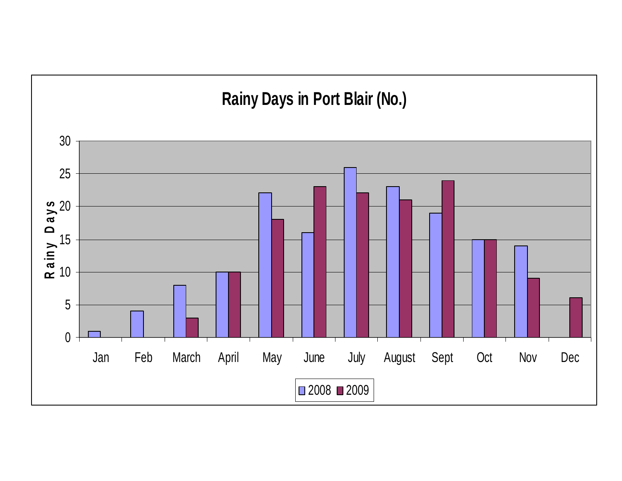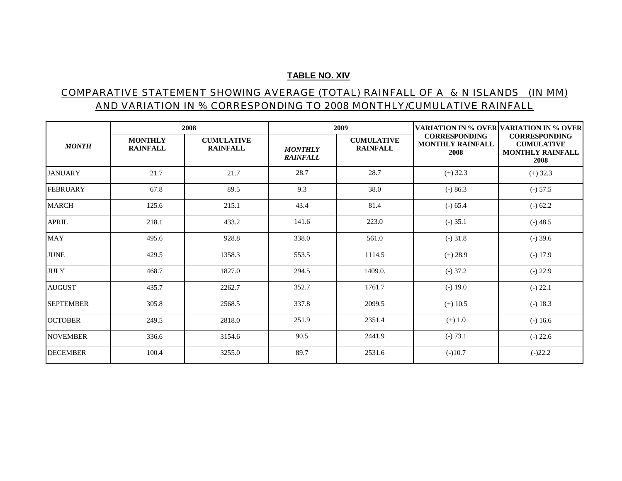#### **TABLE NO. XIV**

### COMPARATIVE STATEMENT SHOWING AVERAGE (TOTAL) RAINFALL OF A & N ISLANDS (IN MM) AND VARIATION IN % CORRESPONDING TO 2008 MONTHLY/CUMULATIVE RAINFALL

|                  |                                   | 2008                                 |                                   | 2009                                 |                                                         | VARIATION IN % OVER VARIATION IN % OVER                                      |  |
|------------------|-----------------------------------|--------------------------------------|-----------------------------------|--------------------------------------|---------------------------------------------------------|------------------------------------------------------------------------------|--|
| <b>MONTH</b>     | <b>MONTHLY</b><br><b>RAINFALL</b> | <b>CUMULATIVE</b><br><b>RAINFALL</b> | <b>MONTHLY</b><br><b>RAINFALL</b> | <b>CUMULATIVE</b><br><b>RAINFALL</b> | <b>CORRESPONDING</b><br><b>MONTHLY RAINFALL</b><br>2008 | <b>CORRESPONDING</b><br><b>CUMULATIVE</b><br><b>MONTHLY RAINFALL</b><br>2008 |  |
| <b>JANUARY</b>   | 21.7                              | 21.7                                 | 28.7                              | 28.7                                 | $(+)$ 32.3                                              | $(+)$ 32.3                                                                   |  |
| <b>FEBRUARY</b>  | 67.8                              | 89.5                                 | 9.3                               | 38.0                                 | $(-) 86.3$                                              | $(-) 57.5$                                                                   |  |
| <b>MARCH</b>     | 125.6                             | 215.1                                | 43.4                              | 81.4                                 | $(-) 65.4$                                              | $(-) 62.2$                                                                   |  |
| <b>APRIL</b>     | 218.1                             | 433.2                                | 141.6                             | 223.0                                | $(-) 35.1$                                              | $(-)$ 48.5                                                                   |  |
| <b>MAY</b>       | 495.6                             | 928.8                                | 338.0                             | 561.0                                | $(-)$ 31.8                                              | $(-)$ 39.6                                                                   |  |
| <b>JUNE</b>      | 429.5                             | 1358.3                               | 553.5                             | 1114.5                               | $(+) 28.9$                                              | $(-) 17.9$                                                                   |  |
| <b>JULY</b>      | 468.7                             | 1827.0                               | 294.5                             | 1409.0.                              | $(-) 37.2$                                              | $(-) 22.9$                                                                   |  |
| <b>AUGUST</b>    | 435.7                             | 2262.7                               | 352.7                             | 1761.7                               | $(-) 19.0$                                              | $(-) 22.1$                                                                   |  |
| <b>SEPTEMBER</b> | 305.8                             | 2568.5                               | 337.8                             | 2099.5                               | $(+)$ 10.5                                              | $(-) 18.3$                                                                   |  |
| <b>OCTOBER</b>   | 249.5                             | 2818.0                               | 251.9                             | 2351.4                               | $(+) 1.0$                                               | $(-) 16.6$                                                                   |  |
| <b>NOVEMBER</b>  | 336.6                             | 3154.6                               | 90.5                              | 2441.9                               | $(-) 73.1$                                              | $(-) 22.6$                                                                   |  |
| <b>DECEMBER</b>  | 100.4                             | 3255.0                               | 89.7                              | 2531.6                               | $(-)10.7$                                               | $(-)22.2$                                                                    |  |